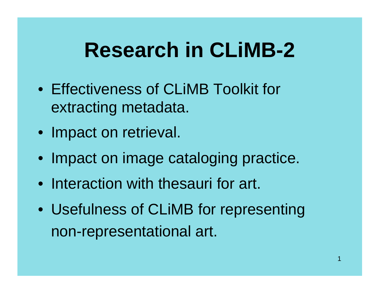### **Research in CLiMB-2**

- Effectiveness of CLiMB Toolkit for extracting metadata.
- Impact on retrieval.
- Impact on image cataloging practice.
- Interaction with thesauri for art.
- Usefulness of CLiMB for representing non-representational art.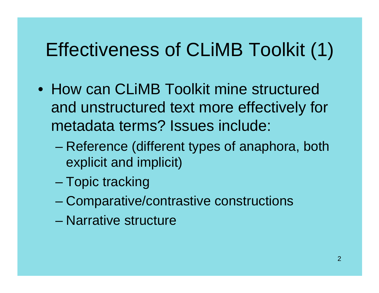#### Effectiveness of CLiMB Toolkit (1)

- How can CLiMB Toolkit mine structured and unstructured text more effectively for metadata terms? Issues include:
	- – Reference (different types of anaphora, both explicit and implicit)
	- and the state of the state Topic tracking
	- –Comparative/contrastive constructions
	- Narrative structure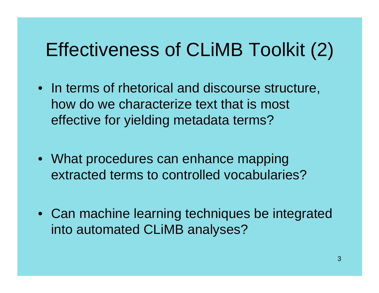#### Effectiveness of CLiMB Toolkit (2)

- In terms of rhetorical and discourse structure, how do we characterize text that is most effective for yielding metadata terms?
- What procedures can enhance mapping extracted terms to controlled vocabularies?
- Can machine learning techniques be integrated into automated CLiMB analyses?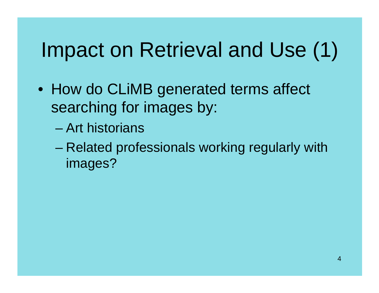## Impact on Retrieval and Use (1)

- How do CLiMB generated terms affect searching for images by:
	- Art historians
	- and the state of the state Related professionals working regularly with images?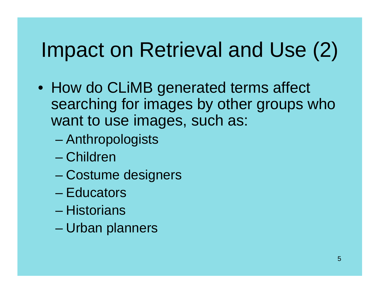## Impact on Retrieval and Use (2)

- How do CLiMB generated terms affect searching for images by other groups who want to use images, such as:
	- and the state of the state Anthropologists
	- Children
	- –Costume designers
	- Educators
	- Historians
	- –Urban planners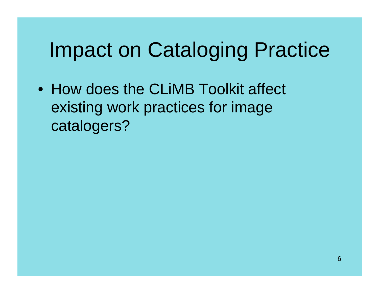### Impact on Cataloging Practice

• How does the CLiMB Toolkit affect existing work practices for image catalogers?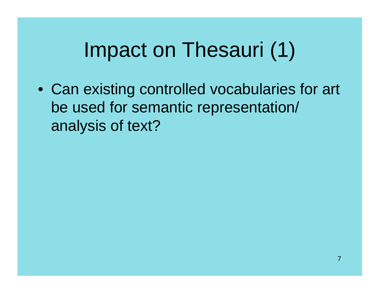## Impact on Thesauri (1)

• Can existing controlled vocabularies for art be used for semantic representation/ analysis of text?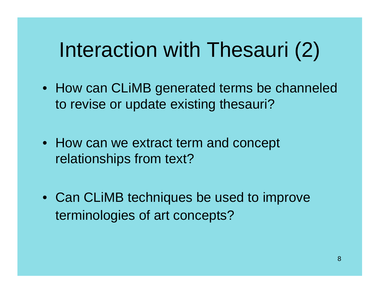# Interaction with Thesauri (2)

- How can CLiMB generated terms be channeled to revise or update existing thesauri?
- How can we extract term and concept relationships from text?
- Can CLiMB techniques be used to improve terminologies of art concepts?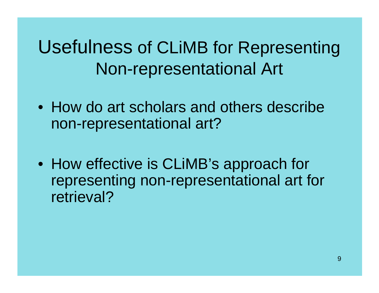Usefulness of CLiMB for Representing Non-representational Art

- How do art scholars and others describe non-representational art?
- How effective is CLiMB's approach for representing non-representational art for retrieval?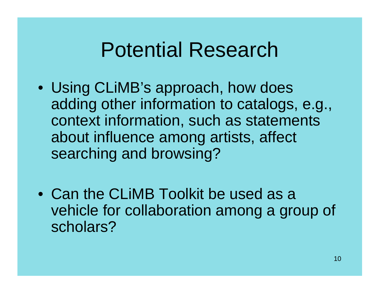#### Potential Research

- Using CLiMB's approach, how does adding other information to catalogs, e.g., context information, such as statements about influence among artists, affect searching and browsing?
- Can the CLiMB Toolkit be used as a vehicle for collaboration among a group of scholars?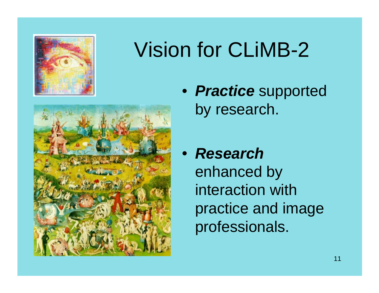

## Vision for CLiMB-2



- *Practice* supported by research.
- *Research*enhanced by interaction with practice and image professionals.